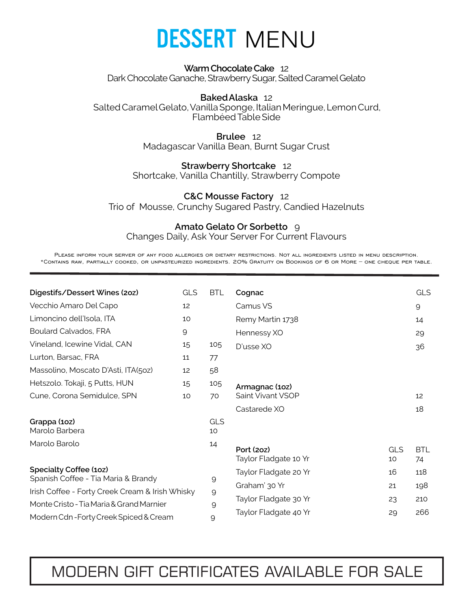

### **Warm Chocolate Cake** 12 Dark Chocolate Ganache, Strawberry Sugar, Salted Caramel Gelato

**Baked Alaska** 12 Salted CaramelGelato, Vanilla Sponge, Italian Meringue, Lemon Curd, Flambéed Table Side

> **Brulee** 12 Madagascar Vanilla Bean, Burnt Sugar Crust

## **Strawberry Shortcake** 12

Shortcake, Vanilla Chantilly, Strawberry Compote

## **C&C Mousse Factory** 12

Trio of Mousse, Crunchy Sugared Pastry, Candied Hazelnuts

## **Amato Gelato Or Sorbetto** 9

Changes Daily, Ask Your Server For Current Flavours

Please inform your server of any food allergies or dietary restrictions. Not all ingredients listed in menu description. \*Contains raw, partially cooked, or unpasteurized ingredients. 20% Gratuity on Bookings of 6 or More – one cheque per table.

| Digestifs/Dessert Wines (20z)                                                                                                                                | <b>GLS</b>   | <b>BTL</b>       | Cognac                              |           | <b>GLS</b>       |
|--------------------------------------------------------------------------------------------------------------------------------------------------------------|--------------|------------------|-------------------------------------|-----------|------------------|
| Vecchio Amaro Del Capo                                                                                                                                       | 12           |                  | Camus VS                            |           | $\mathsf{Q}$     |
| Limoncino dell'Isola, ITA                                                                                                                                    | 10           |                  | Remy Martin 1738                    |           | 14               |
| <b>Boulard Calvados, FRA</b>                                                                                                                                 | $\mathsf{Q}$ |                  | Hennessy XO                         |           | 29               |
| Vineland, Icewine Vidal, CAN                                                                                                                                 | 15           | 105              | D'usse XO                           |           | 36               |
| Lurton, Barsac, FRA                                                                                                                                          | 11           | 77               |                                     |           |                  |
| Massolino, Moscato D'Asti, ITA(50z)                                                                                                                          | 12           | 58               |                                     |           |                  |
| Hetszolo. Tokaji, 5 Putts, HUN                                                                                                                               | 15           | 105              | Armagnac (10z)                      |           |                  |
| Cune, Corona Semidulce, SPN                                                                                                                                  | 10           | 70               | Saint Vivant VSOP                   |           | 12               |
|                                                                                                                                                              |              |                  | Castarede XO                        |           | 18               |
| Grappa (10z)<br>Marolo Barbera                                                                                                                               |              | <b>GLS</b><br>10 |                                     |           |                  |
| Marolo Barolo                                                                                                                                                |              | 14               | Port (20Z)<br>Taylor Fladgate 10 Yr | GLS<br>10 | <b>BTL</b><br>74 |
| Specialty Coffee (10z)<br>Spanish Coffee - Tia Maria & Brandy<br>Irish Coffee - Forty Creek Cream & Irish Whisky<br>Monte Cristo - Tia Maria & Grand Marnier |              |                  | Taylor Fladgate 20 Yr               | 16        | 118              |
|                                                                                                                                                              |              | 9                | Graham' 30 Yr                       | 21        | 198              |
|                                                                                                                                                              |              | $\mathsf{Q}$     | Taylor Fladgate 30 Yr               | 23        | 210              |
|                                                                                                                                                              |              | 9                | Taylor Fladgate 40 Yr               | 29        | 266              |
| Modern Cdn-Forty Creek Spiced & Cream                                                                                                                        |              | 9                |                                     |           |                  |

# MODERN GIFT CERTIFICATES AVAILABLE FOR SALE